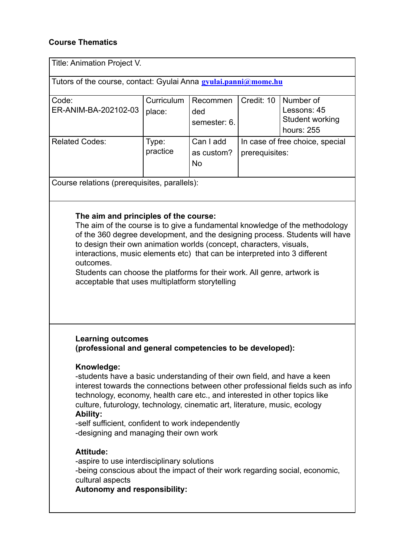## **Course Thematics**

| Title: Animation Project V.                                                                                                                                                                                                                                                                                                                                                                                                                                                                          |                      |                                      |                                                   |                                                           |  |  |
|------------------------------------------------------------------------------------------------------------------------------------------------------------------------------------------------------------------------------------------------------------------------------------------------------------------------------------------------------------------------------------------------------------------------------------------------------------------------------------------------------|----------------------|--------------------------------------|---------------------------------------------------|-----------------------------------------------------------|--|--|
| Tutors of the course, contact: Gyulai Anna gyulai.panni@mome.hu                                                                                                                                                                                                                                                                                                                                                                                                                                      |                      |                                      |                                                   |                                                           |  |  |
| Code:<br>ER-ANIM-BA-202102-03                                                                                                                                                                                                                                                                                                                                                                                                                                                                        | Curriculum<br>place: | Recommen<br>ded<br>semester: 6.      | Credit: 10                                        | Number of<br>Lessons: 45<br>Student working<br>hours: 255 |  |  |
| <b>Related Codes:</b>                                                                                                                                                                                                                                                                                                                                                                                                                                                                                | Type:<br>practice    | Can I add<br>as custom?<br><b>No</b> | In case of free choice, special<br>prerequisites: |                                                           |  |  |
| Course relations (prerequisites, parallels):                                                                                                                                                                                                                                                                                                                                                                                                                                                         |                      |                                      |                                                   |                                                           |  |  |
| The aim and principles of the course:<br>The aim of the course is to give a fundamental knowledge of the methodology<br>of the 360 degree development, and the designing process. Students will have<br>to design their own animation worlds (concept, characters, visuals,<br>interactions, music elements etc) that can be interpreted into 3 different<br>outcomes.<br>Students can choose the platforms for their work. All genre, artwork is<br>acceptable that uses multiplatform storytelling |                      |                                      |                                                   |                                                           |  |  |
| <b>Learning outcomes</b><br>(professional and general competencies to be developed):                                                                                                                                                                                                                                                                                                                                                                                                                 |                      |                                      |                                                   |                                                           |  |  |
| Knowledge:<br>-students have a basic understanding of their own field, and have a keen<br>interest towards the connections between other professional fields such as info<br>technology, economy, health care etc., and interested in other topics like<br>culture, futurology, technology, cinematic art, literature, music, ecology<br><b>Ability:</b><br>-self sufficient, confident to work independently<br>-designing and managing their own work                                              |                      |                                      |                                                   |                                                           |  |  |
| <b>Attitude:</b><br>-aspire to use interdisciplinary solutions<br>-being conscious about the impact of their work regarding social, economic,<br>cultural aspects<br><b>Autonomy and responsibility:</b>                                                                                                                                                                                                                                                                                             |                      |                                      |                                                   |                                                           |  |  |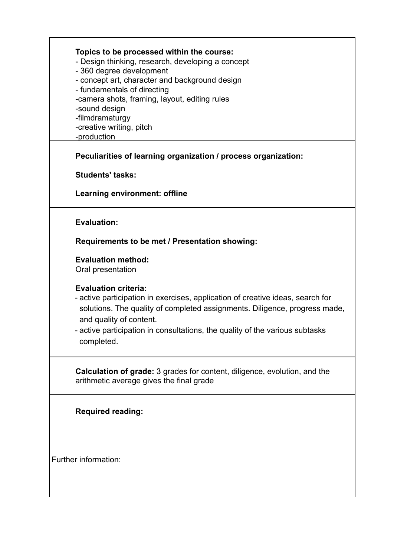| Topics to be processed within the course:<br>- Design thinking, research, developing a concept<br>- 360 degree development<br>- concept art, character and background design<br>- fundamentals of directing<br>-camera shots, framing, layout, editing rules<br>-sound design<br>-filmdramaturgy<br>-creative writing, pitch<br>-production |  |
|---------------------------------------------------------------------------------------------------------------------------------------------------------------------------------------------------------------------------------------------------------------------------------------------------------------------------------------------|--|
| Peculiarities of learning organization / process organization:                                                                                                                                                                                                                                                                              |  |
| <b>Students' tasks:</b>                                                                                                                                                                                                                                                                                                                     |  |
| Learning environment: offline                                                                                                                                                                                                                                                                                                               |  |
| <b>Evaluation:</b>                                                                                                                                                                                                                                                                                                                          |  |
| Requirements to be met / Presentation showing:                                                                                                                                                                                                                                                                                              |  |
| <b>Evaluation method:</b><br>Oral presentation                                                                                                                                                                                                                                                                                              |  |
| <b>Evaluation criteria:</b><br>- active participation in exercises, application of creative ideas, search for<br>solutions. The quality of completed assignments. Diligence, progress made,<br>and quality of content.<br>- active participation in consultations, the quality of the various subtasks<br>completed.                        |  |
| Calculation of grade: 3 grades for content, diligence, evolution, and the<br>arithmetic average gives the final grade                                                                                                                                                                                                                       |  |
| <b>Required reading:</b>                                                                                                                                                                                                                                                                                                                    |  |
| Further information:                                                                                                                                                                                                                                                                                                                        |  |